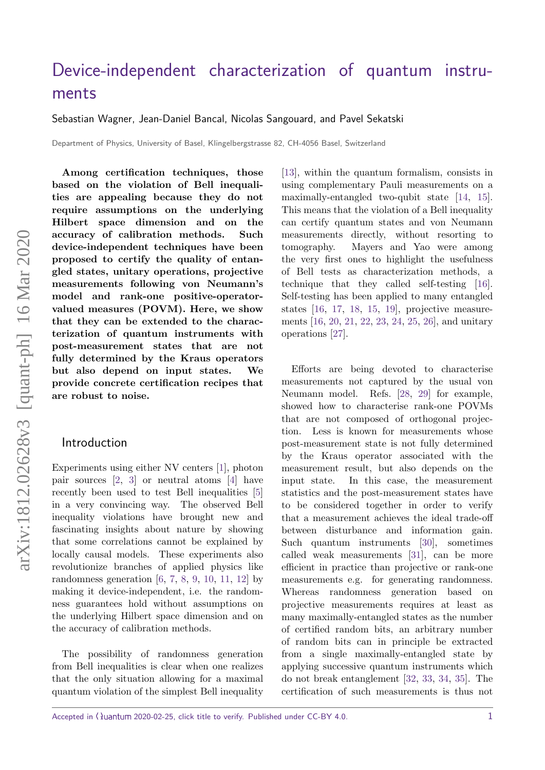# [Device-independent characterization of quantum instru](https://quantum-journal.org/?s=Device-independent%20characterization%20of%20quantum%20instruments&reason=title-click)[ments](https://quantum-journal.org/?s=Device-independent%20characterization%20of%20quantum%20instruments&reason=title-click)

Sebastian Wagner, Jean-Daniel Bancal, Nicolas Sangouard, and Pavel Sekatski

Department of Physics, University of Basel, Klingelbergstrasse 82, CH-4056 Basel, Switzerland

**Among certification techniques, those based on the violation of Bell inequalities are appealing because they do not require assumptions on the underlying Hilbert space dimension and on the accuracy of calibration methods. Such device-independent techniques have been proposed to certify the quality of entangled states, unitary operations, projective measurements following von Neumann's model and rank-one positive-operatorvalued measures (POVM). Here, we show that they can be extended to the characterization of quantum instruments with post-measurement states that are not fully determined by the Kraus operators but also depend on input states. We provide concrete certification recipes that are robust to noise.**

## Introduction

Experiments using either NV centers [\[1\]](#page-5-0), photon pair sources [\[2,](#page-6-0) [3\]](#page-6-1) or neutral atoms [\[4\]](#page-6-2) have recently been used to test Bell inequalities [\[5\]](#page-6-3) in a very convincing way. The observed Bell inequality violations have brought new and fascinating insights about nature by showing that some correlations cannot be explained by locally causal models. These experiments also revolutionize branches of applied physics like randomness generation  $[6, 7, 8, 9, 10, 11, 12]$  $[6, 7, 8, 9, 10, 11, 12]$  $[6, 7, 8, 9, 10, 11, 12]$  $[6, 7, 8, 9, 10, 11, 12]$  $[6, 7, 8, 9, 10, 11, 12]$  $[6, 7, 8, 9, 10, 11, 12]$  $[6, 7, 8, 9, 10, 11, 12]$  $[6, 7, 8, 9, 10, 11, 12]$  $[6, 7, 8, 9, 10, 11, 12]$  $[6, 7, 8, 9, 10, 11, 12]$  $[6, 7, 8, 9, 10, 11, 12]$  $[6, 7, 8, 9, 10, 11, 12]$  $[6, 7, 8, 9, 10, 11, 12]$  by making it device-independent, i.e. the randomness guarantees hold without assumptions on the underlying Hilbert space dimension and on the accuracy of calibration methods.

The possibility of randomness generation from Bell inequalities is clear when one realizes that the only situation allowing for a maximal quantum violation of the simplest Bell inequality [\[13\]](#page-6-11), within the quantum formalism, consists in using complementary Pauli measurements on a maximally-entangled two-qubit state [\[14,](#page-6-12) [15\]](#page-6-13). This means that the violation of a Bell inequality can certify quantum states and von Neumann measurements directly, without resorting to tomography. Mayers and Yao were among the very first ones to highlight the usefulness of Bell tests as characterization methods, a technique that they called self-testing [\[16\]](#page-6-14). Self-testing has been applied to many entangled states  $[16, 17, 18, 15, 19]$  $[16, 17, 18, 15, 19]$  $[16, 17, 18, 15, 19]$  $[16, 17, 18, 15, 19]$  $[16, 17, 18, 15, 19]$  $[16, 17, 18, 15, 19]$  $[16, 17, 18, 15, 19]$  $[16, 17, 18, 15, 19]$  $[16, 17, 18, 15, 19]$ , projective measurements [\[16,](#page-6-14) [20,](#page-7-2) [21,](#page-7-3) [22,](#page-7-4) [23,](#page-7-5) [24,](#page-7-6) [25,](#page-7-7) [26\]](#page-7-8), and unitary operations [\[27\]](#page-7-9).

Efforts are being devoted to characterise measurements not captured by the usual von Neumann model. Refs. [\[28,](#page-7-10) [29\]](#page-7-11) for example, showed how to characterise rank-one POVMs that are not composed of orthogonal projection. Less is known for measurements whose post-measurement state is not fully determined by the Kraus operator associated with the measurement result, but also depends on the input state. In this case, the measurement statistics and the post-measurement states have to be considered together in order to verify that a measurement achieves the ideal trade-off between disturbance and information gain. Such quantum instruments [\[30\]](#page-7-12), sometimes called weak measurements [\[31\]](#page-7-13), can be more efficient in practice than projective or rank-one measurements e.g. for generating randomness. Whereas randomness generation based on projective measurements requires at least as many maximally-entangled states as the number of certified random bits, an arbitrary number of random bits can in principle be extracted from a single maximally-entangled state by applying successive quantum instruments which do not break entanglement [\[32,](#page-7-14) [33,](#page-7-15) [34,](#page-7-16) [35\]](#page-7-17). The certification of such measurements is thus not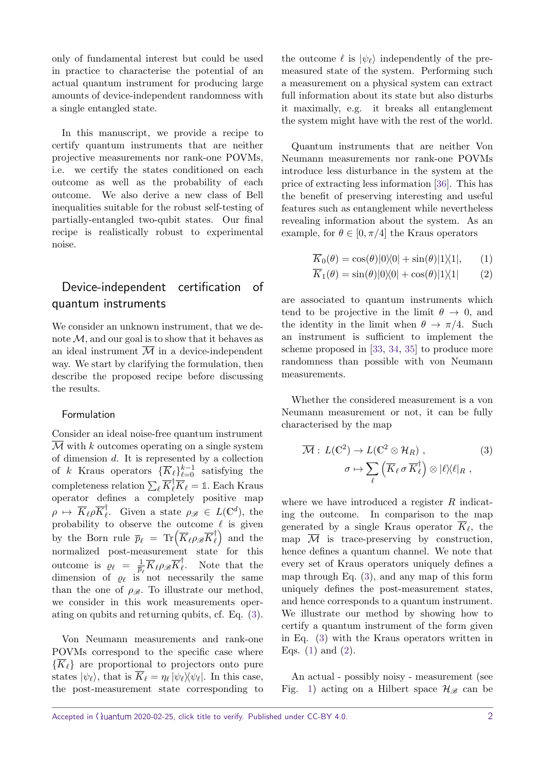only of fundamental interest but could be used in practice to characterise the potential of an actual quantum instrument for producing large amounts of device-independent randomness with a single entangled state.

In this manuscript, we provide a recipe to certify quantum instruments that are neither projective measurements nor rank-one POVMs, i.e. we certify the states conditioned on each outcome as well as the probability of each outcome. We also derive a new class of Bell inequalities suitable for the robust self-testing of partially-entangled two-qubit states. Our final recipe is realistically robust to experimental noise.

## Device-independent certification of quantum instruments

We consider an unknown instrument, that we denote M*,* and our goal is to show that it behaves as an ideal instrument  $\overline{\mathcal{M}}$  in a device-independent way. We start by clarifying the formulation, then describe the proposed recipe before discussing the results.

#### Formulation

Consider an ideal noise-free quantum instrument  $\overline{\mathcal{M}}$  with *k* outcomes operating on a single system of dimension *d*. It is represented by a collection of *k* Kraus operators  $\{\overline{K}_{\ell}\}_{\ell=0}^{k-1}$  satisfying the completeness relation  $\sum_{\ell} \overline{K}_{\ell}^{\dagger} \overline{K}_{\ell} = \mathbb{1}$ . Each Kraus operator defines a completely positive map  $\rho \mapsto \overline{K}_{\ell} \rho \overline{K}_{\ell}^{\dagger}$  $\ell$ . Given a state  $\rho_{\mathscr{B}} \in L(\mathbb{C}^d)$ , the probability to observe the outcome  $\ell$  is given by the Born rule  $\bar{p}_\ell = \text{Tr} \left( \overline{K}_\ell \rho_{\mathscr{B}} \overline{K}_\ell^{\dagger} \right)$  $\binom{+}{\ell}$  and the normalized post-measurement state for this outcome is  $\rho_{\ell} = \frac{1}{\bar{n}}$  $\frac{1}{\overline{p}_{\ell}}\overline{K}_{\ell}\rho_{\mathscr{B}}\overline{K}_{\ell}^{\dagger}$ *`* . Note that the dimension of  $\varrho_{\ell}$  is not necessarily the same than the one of  $\rho_{\mathscr{B}}$ . To illustrate our method, we consider in this work measurements operating on qubits and returning qubits, cf. Eq. [\(3\)](#page-1-0).

Von Neumann measurements and rank-one POVMs correspond to the specific case where  $\{\overline{K}_{\ell}\}\$ are proportional to projectors onto pure states  $|\psi_{\ell}\rangle$ , that is  $\overline{K}_{\ell} = \eta_{\ell} |\psi_{\ell}\rangle\!\langle\psi_{\ell}|$ . In this case, the post-measurement state corresponding to the outcome  $\ell$  is  $|\psi_{\ell}\rangle$  independently of the premeasured state of the system. Performing such a measurement on a physical system can extract full information about its state but also disturbs it maximally, e.g. it breaks all entanglement the system might have with the rest of the world.

Quantum instruments that are neither Von Neumann measurements nor rank-one POVMs introduce less disturbance in the system at the price of extracting less information [\[36\]](#page-7-18). This has the benefit of preserving interesting and useful features such as entanglement while nevertheless revealing information about the system. As an example, for  $\theta \in [0, \pi/4]$  the Kraus operators

<span id="page-1-2"></span><span id="page-1-1"></span>
$$
\overline{K}_0(\theta) = \cos(\theta)|0\rangle\langle 0| + \sin(\theta)|1\rangle\langle 1|, \qquad (1)
$$

$$
\overline{K}_1(\theta) = \sin(\theta)|0\rangle\langle 0| + \cos(\theta)|1\rangle\langle 1| \qquad (2)
$$

are associated to quantum instruments which tend to be projective in the limit  $\theta \to 0$ , and the identity in the limit when  $\theta \to \pi/4$ . Such an instrument is sufficient to implement the scheme proposed in [\[33,](#page-7-15) [34,](#page-7-16) [35\]](#page-7-17) to produce more randomness than possible with von Neumann measurements.

Whether the considered measurement is a von Neumann measurement or not, it can be fully characterised by the map

<span id="page-1-0"></span>
$$
\overline{\mathcal{M}}: L(\mathbb{C}^2) \to L(\mathbb{C}^2 \otimes \mathcal{H}_R),
$$

$$
\sigma \mapsto \sum_{\ell} \left( \overline{K}_{\ell} \sigma \overline{K}_{\ell}^{\dagger} \right) \otimes |\ell \rangle \langle \ell|_{R} ,
$$
 (3)

where we have introduced a register *R* indicating the outcome. In comparison to the map generated by a single Kraus operator  $K_{\ell}$ , the map  $\overline{\mathcal{M}}$  is trace-preserving by construction, hence defines a quantum channel. We note that every set of Kraus operators uniquely defines a map through Eq. [\(3\)](#page-1-0), and any map of this form uniquely defines the post-measurement states, and hence corresponds to a quantum instrument. We illustrate our method by showing how to certify a quantum instrument of the form given in Eq. [\(3\)](#page-1-0) with the Kraus operators written in Eqs.  $(1)$  and  $(2)$ .

An actual - possibly noisy - measurement (see Fig. [1\)](#page-2-0) acting on a Hilbert space  $\mathcal{H}_{\mathscr{B}}$  can be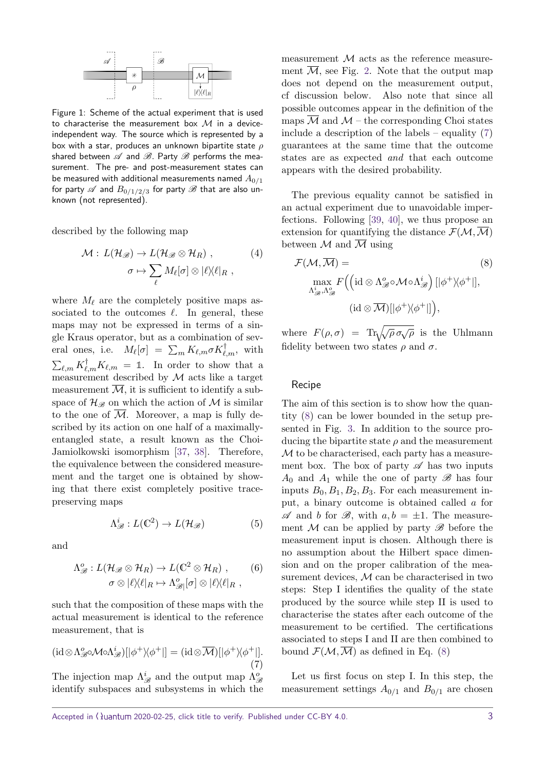

<span id="page-2-0"></span>Figure 1: Scheme of the actual experiment that is used to characterise the measurement box  $M$  in a deviceindependent way. The source which is represented by a box with a star, produces an unknown bipartite state *ρ* shared between  $\mathscr A$  and  $\mathscr B$ . Party  $\mathscr B$  performs the measurement. The pre- and post-measurement states can be measured with additional measurements named  $A_{0/1}$ for party  $\mathscr A$  and  $B_{0/1/2/3}$  for party  $\mathscr B$  that are also unknown (not represented).

described by the following map

$$
\mathcal{M}: L(\mathcal{H}_{\mathscr{B}}) \to L(\mathcal{H}_{\mathscr{B}} \otimes \mathcal{H}_{R}), \qquad (4)
$$

$$
\sigma \mapsto \sum_{\ell} M_{\ell}[\sigma] \otimes |\ell\rangle\langle \ell|_{R},
$$

where  $M_{\ell}$  are the completely positive maps associated to the outcomes  $\ell$ . In general, these maps may not be expressed in terms of a single Kraus operator, but as a combination of several ones, i.e.  $M_{\ell}[\sigma] = \sum_{m} K_{\ell,m} \sigma K_{\ell,m}^{\dagger}$ , with  $\sum_{\ell,m} K^{\dagger}_{\ell,m} K_{\ell,m} = \mathbb{1}$ . In order to show that a measurement described by  $M$  acts like a target measurement  $\overline{\mathcal{M}}$ , it is sufficient to identify a subspace of  $\mathcal{H}_{\mathscr{B}}$  on which the action of M is similar to the one of  $\overline{\mathcal{M}}$ . Moreover, a map is fully described by its action on one half of a maximallyentangled state, a result known as the Choi-Jamiolkowski isomorphism [\[37,](#page-7-19) [38\]](#page-7-20). Therefore, the equivalence between the considered measurement and the target one is obtained by showing that there exist completely positive tracepreserving maps

$$
\Lambda^i_{\mathscr{B}}: L(\mathbb{C}^2) \to L(\mathcal{H}_{\mathscr{B}}) \tag{5}
$$

and

$$
\Lambda_{\mathscr{B}}^o: L(\mathcal{H}_{\mathscr{B}} \otimes \mathcal{H}_R) \to L(\mathbb{C}^2 \otimes \mathcal{H}_R) ,\qquad (6)
$$

$$
\sigma \otimes |\ell\rangle\langle\ell|_R \mapsto \Lambda_{\mathscr{B}}^o[\sigma] \otimes |\ell\rangle\langle\ell|_R ,
$$

such that the composition of these maps with the actual measurement is identical to the reference measurement, that is

<span id="page-2-1"></span>
$$
(\mathrm{id} \otimes \Lambda^o_{\mathscr{B}} \circ \mathcal{M} \circ \Lambda^i_{\mathscr{B}})[|\phi^+ \rangle \langle \phi^+|] = (\mathrm{id} \otimes \overline{\mathcal{M}})[|\phi^+ \rangle \langle \phi^+|].
$$
\n(7)

The injection map  $\Lambda_{\mathscr{B}}^{i}$  and the output map  $\Lambda_{\mathscr{B}}^{o}$ identify subspaces and subsystems in which the measurement  $M$  acts as the reference measurement  $\overline{\mathcal{M}}$ , see Fig. [2.](#page-3-0) Note that the output map does not depend on the measurement output, cf discussion below. Also note that since all possible outcomes appear in the definition of the maps  $\overline{\mathcal{M}}$  and  $\mathcal{M}$  – the corresponding Choi states include a description of the labels – equality [\(7\)](#page-2-1) guarantees at the same time that the outcome states are as expected and that each outcome appears with the desired probability.

The previous equality cannot be satisfied in an actual experiment due to unavoidable imperfections. Following [\[39,](#page-7-21) [40\]](#page-8-0), we thus propose an extension for quantifying the distance  $\mathcal{F}(\mathcal{M},\overline{\mathcal{M}})$ between  $\mathcal M$  and  $\overline{\mathcal M}$  using

<span id="page-2-3"></span><span id="page-2-2"></span>
$$
\mathcal{F}(\mathcal{M}, \overline{\mathcal{M}}) =
$$
\n
$$
\max_{\Lambda_{\mathscr{B}}^i, \Lambda_{\mathscr{B}}^o} F((\text{id} \otimes \Lambda_{\mathscr{B}}^o \circ \mathcal{M} \circ \Lambda_{\mathscr{B}}^i) [|\phi^+ \rangle \langle \phi^+|],
$$
\n
$$
(\text{id} \otimes \overline{\mathcal{M}}) [|\phi^+ \rangle \langle \phi^+|],
$$
\n
$$
(S)
$$

where  $F(\rho, \sigma) = \text{Tr}\sqrt{\sqrt{\rho} \sigma \sqrt{\rho}}$  is the Uhlmann fidelity between two states  $\rho$  and  $\sigma$ .

#### Recipe

The aim of this section is to show how the quantity [\(8\)](#page-2-2) can be lower bounded in the setup presented in Fig. [3.](#page-3-1) In addition to the source producing the bipartite state *ρ* and the measurement M to be characterised, each party has a measurement box. The box of party  $\mathscr A$  has two inputs  $A_0$  and  $A_1$  while the one of party  $\mathscr B$  has four inputs  $B_0, B_1, B_2, B_3$ . For each measurement input, a binary outcome is obtained called *a* for  $\mathscr A$  and *b* for  $\mathscr B$ , with  $a, b = \pm 1$ . The measurement  $\mathcal M$  can be applied by party  $\mathscr B$  before the measurement input is chosen. Although there is no assumption about the Hilbert space dimension and on the proper calibration of the measurement devices, M can be characterised in two steps: Step I identifies the quality of the state produced by the source while step II is used to characterise the states after each outcome of the measurement to be certified. The certifications associated to steps I and II are then combined to bound  $\mathcal{F}(\mathcal{M},\mathcal{M})$  as defined in Eq. [\(8\)](#page-2-2)

<span id="page-2-4"></span>Let us first focus on step I. In this step, the measurement settings  $A_{0/1}$  and  $B_{0/1}$  are chosen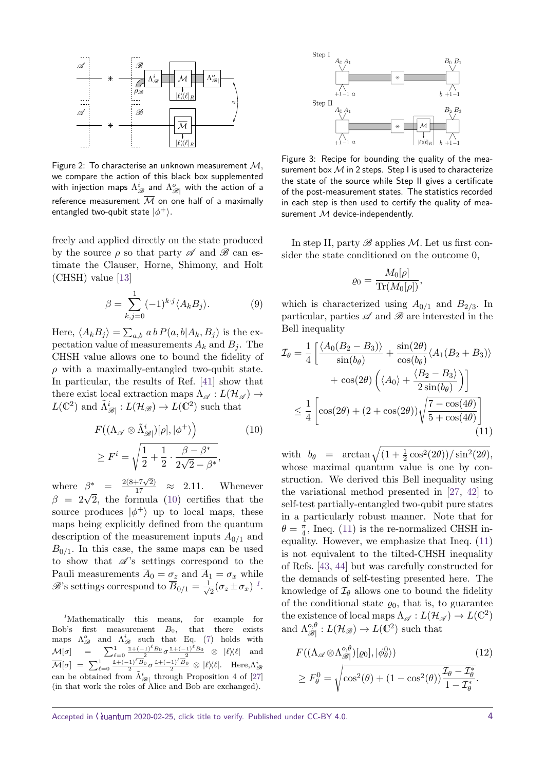

<span id="page-3-0"></span>Figure 2: To characterise an unknown measurement M*,* we compare the action of this black box supplemented with injection maps  $\Lambda_{\mathscr{B}}^{i}$  and  $\Lambda_{\mathscr{B}|}^{o}$  with the action of a reference measurement  $\overline{M}$  on one half of a maximally entangled two-qubit state  $|\phi^+\rangle.$ 

freely and applied directly on the state produced by the source  $\rho$  so that party  $\mathscr A$  and  $\mathscr B$  can estimate the Clauser, Horne, Shimony, and Holt (CHSH) value [\[13\]](#page-6-11)

$$
\beta = \sum_{k,j=0}^{1} (-1)^{k \cdot j} \langle A_k B_j \rangle.
$$
 (9)

Here,  $\langle A_k B_j \rangle = \sum_{a,b} a b P(a,b|A_k, B_j)$  is the expectation value of measurements  $A_k$  and  $B_j$ . The CHSH value allows one to bound the fidelity of *ρ* with a maximally-entangled two-qubit state. In particular, the results of Ref. [\[41\]](#page-8-1) show that there exist local extraction maps  $\Lambda_{\mathscr{A}} : L(\mathcal{H}_{\mathscr{A}}) \rightarrow$  $L(\mathbb{C}^2)$  and  $\tilde{\Lambda}_{\mathscr{B}}^i$  :  $L(\mathcal{H}_{\mathscr{B}}) \to L(\mathbb{C}^2)$  such that

$$
F((\Lambda_{\mathscr{A}} \otimes \tilde{\Lambda}_{\mathscr{B}}^{i})[\rho], |\phi^{+}\rangle) \qquad (10)
$$

$$
\geq F^{i} = \sqrt{\frac{1}{2} + \frac{1}{2} \cdot \frac{\beta - \beta^{*}}{2\sqrt{2} - \beta^{*}}},
$$

where  $\beta^* = \frac{2(8+7\sqrt{2})}{17} \approx 2.11$ . Whenever where  $\beta = \frac{17}{17} \approx 2.11$ . Whenever  $\beta = 2\sqrt{2}$ , the formula [\(10\)](#page-3-2) certifies that the source produces  $|\phi^+\rangle$  up to local maps, these maps being explicitly defined from the quantum description of the measurement inputs  $A_{0/1}$  and  $B_{0/1}$ . In this case, the same maps can be used to show that  $\mathscr{A}$ 's settings correspond to the Pauli measurements  $\overline{A}_0 = \sigma_z$  and  $\overline{A}_1 = \sigma_x$  while  $\mathscr{B}$ 's settings correspond to  $\overline{B}_{0/1} = \frac{1}{\sqrt{2}}$  $\frac{1}{2}(\sigma_z \pm \sigma_x)^{-1}$  $\frac{1}{2}(\sigma_z \pm \sigma_x)^{-1}$  $\frac{1}{2}(\sigma_z \pm \sigma_x)^{-1}$ .

<span id="page-3-3"></span>*<sup>1</sup>*Mathematically this means, for example for Bob's first measurement *B*0, that there exists maps  $\Lambda_{\mathscr{B}}^o$  and  $\Lambda_{\mathscr{B}}^i$  such that Eq. [\(7\)](#page-2-1) holds with  $\mathcal{M}[\sigma] = \sum_{\ell=0}^{1} \frac{1+(-1)^{\ell}B_0}{2} \sigma \frac{1+(-1)^{\ell}B_0}{2} \otimes |\ell\rangle\langle \ell|$  and  $\overline{\mathcal{M}}[\sigma] \;=\; \sum_{\ell=0}^1 \tfrac{\mathbb{1}+(-1)^\ell \overline{B}_0}{2} \sigma \tfrac{\mathbb{1}+(-1)^\ell \overline{B}_0}{2} \otimes \vert \ell \rangle\!\langle \ell \vert. \quad \text{Here,} \Lambda^i_\mathscr{B}$ can be obtained from  $\tilde{\Lambda}_{\mathscr{B}|}^{i}$  through Proposition 4 of [\[27\]](#page-7-9) (in that work the roles of Alice and Bob are exchanged).



<span id="page-3-1"></span>Figure 3: Recipe for bounding the quality of the measurement box  $M$  in 2 steps. Step I is used to characterize the state of the source while Step II gives a certificate of the post-measurement states. The statistics recorded in each step is then used to certify the quality of measurement  $M$  device-independently.

In step II, party  $\mathscr B$  applies  $\mathcal M$ . Let us first consider the state conditioned on the outcome 0,

<span id="page-3-4"></span>
$$
\varrho_0 = \frac{M_0[\rho]}{\text{Tr}(M_0[\rho])},
$$

which is characterized using  $A_{0/1}$  and  $B_{2/3}$ . In particular, parties  $\mathscr A$  and  $\mathscr B$  are interested in the Bell inequality

$$
\mathcal{I}_{\theta} = \frac{1}{4} \left[ \frac{\langle A_0(B_2 - B_3) \rangle}{\sin(b_{\theta})} + \frac{\sin(2\theta)}{\cos(b_{\theta})} \langle A_1(B_2 + B_3) \rangle + \cos(2\theta) \left( \langle A_0 \rangle + \frac{\langle B_2 - B_3 \rangle}{2 \sin(b_{\theta})} \right) \right]
$$
  

$$
\leq \frac{1}{4} \left[ \cos(2\theta) + (2 + \cos(2\theta)) \sqrt{\frac{7 - \cos(4\theta)}{5 + \cos(4\theta)}} \right]
$$
(11)

<span id="page-3-2"></span>with  $b_{\theta}$  =  $\arctan \sqrt{\left(1 + \frac{1}{2} \cos^2(2\theta)\right) / \sin^2(2\theta)},$ whose maximal quantum value is one by construction. We derived this Bell inequality using the variational method presented in [\[27,](#page-7-9) [42\]](#page-8-2) to self-test partially-entangled two-qubit pure states in a particularly robust manner. Note that for  $\theta = \frac{\pi}{4}$  $\frac{\pi}{4}$ , Ineq. [\(11\)](#page-3-4) is the re-normalized CHSH inequality. However, we emphasize that Ineq. [\(11\)](#page-3-4) is not equivalent to the tilted-CHSH inequality of Refs. [\[43,](#page-8-3) [44\]](#page-8-4) but was carefully constructed for the demands of self-testing presented here. The knowledge of  $\mathcal{I}_{\theta}$  allows one to bound the fidelity of the conditional state  $\varrho_0$ , that is, to guarantee the existence of local maps  $\Lambda_{\mathscr{A}} : L(\mathcal{H}_{\mathscr{A}}) \to L(\mathbb{C}^2)$ and  $\Lambda_{\mathscr{B}}^{\mathfrak{o},\theta}$  $\frac{\partial}{\partial \mathscr{B}}: L(\mathcal{H}_{\mathscr{B}}) \to L(\mathbb{C}^2)$  such that

<span id="page-3-5"></span>
$$
F((\Lambda_{\mathscr{A}} \otimes \Lambda_{\mathscr{B}}^{o,\theta})[\varrho_0], |\phi_\theta^0\rangle) \qquad (12)
$$
  
\n
$$
\geq F_\theta^0 = \sqrt{\cos^2(\theta) + (1 - \cos^2(\theta))\frac{\mathcal{I}_\theta - \mathcal{I}_\theta^*}{1 - \mathcal{I}_\theta^*}}.
$$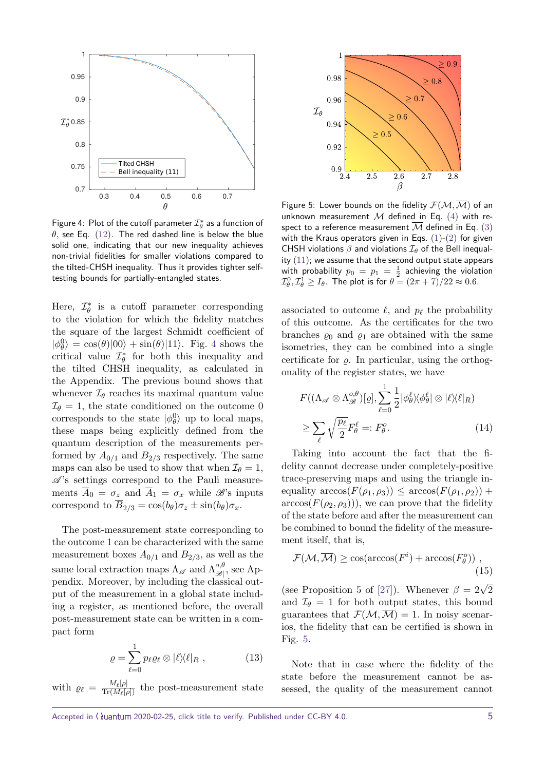

<span id="page-4-0"></span>Figure 4 $:$  Plot of the cutoff parameter  $\mathcal{I}_{\theta}^*$  as a function of *θ,* see Eq. [\(12\)](#page-3-5). The red dashed line is below the blue solid one, indicating that our new inequality achieves non-trivial fidelities for smaller violations compared to the tilted-CHSH inequality. Thus it provides tighter selftesting bounds for partially-entangled states.

Here,  $\mathcal{I}_{\theta}^{*}$  is a cutoff parameter corresponding to the violation for which the fidelity matches the square of the largest Schmidt coefficient of  $|\phi_{\theta}^{0}\rangle = \cos(\theta)|00\rangle + \sin(\theta)|11\rangle$ . Fig. [4](#page-4-0) shows the critical value  $\mathcal{I}_{\theta}^*$  for both this inequality and the tilted CHSH inequality, as calculated in the Appendix. The previous bound shows that whenever  $\mathcal{I}_{\theta}$  reaches its maximal quantum value  $\mathcal{I}_{\theta} = 1$ , the state conditioned on the outcome 0 corresponds to the state  $|\phi_{\theta}^{0}\rangle$  up to local maps, these maps being explicitly defined from the quantum description of the measurements performed by  $A_{0/1}$  and  $B_{2/3}$  respectively. The same maps can also be used to show that when  $\mathcal{I}_{\theta} = 1$ ,  $\mathscr{A}$ 's settings correspond to the Pauli measurements  $\overline{A}_0 = \sigma_z$  and  $\overline{A}_1 = \sigma_x$  while  $\mathscr{B}$ 's inputs correspond to  $\overline{B}_{2/3} = \cos(b_\theta) \sigma_z \pm \sin(b_\theta) \sigma_x$ .

The post-measurement state corresponding to the outcome 1 can be characterized with the same measurement boxes  $A_{0/1}$  and  $B_{2/3}$ , as well as the same local extraction maps  $\Lambda_{\mathscr{A}}$  and  $\Lambda_{\mathscr{B}}^{o,\theta}$  $\mathscr{B}^{\sigma,\sigma}_{\mathscr{B}|},$  see Appendix. Moreover, by including the classical output of the measurement in a global state including a register, as mentioned before, the overall post-measurement state can be written in a compact form

$$
\varrho = \sum_{\ell=0}^{1} p_{\ell} \varrho_{\ell} \otimes |\ell\rangle\langle\ell|_{R} , \qquad (13)
$$

with  $\rho_{\ell} = \frac{M_{\ell}[\rho]}{\text{Tr}(M_{\ell}[\rho])}$  the post-measurement state



<span id="page-4-1"></span>Figure 5: Lower bounds on the fidelity  $\mathcal{F}(\mathcal{M},\overline{\mathcal{M}})$  of an unknown measurement M defined in Eq.  $(4)$  with respect to a reference measurement  $\overline{M}$  defined in Eq. [\(3\)](#page-1-0) with the Kraus operators given in Eqs.  $(1)-(2)$  $(1)-(2)$  $(1)-(2)$  for given CHSH violations  $\beta$  and violations  $\mathcal{I}_{\theta}$  of the Bell inequality  $(11)$ ; we assume that the second output state appears with probability  $p_0 = p_1 = \frac{1}{2}$  achieving the violation  $\mathcal{I}_{\theta}^0, \mathcal{I}_{\theta}^1 \geq I_{\theta}$ . The plot is for  $\theta = (2\pi + 7)/22 \approx 0.6$ .

associated to outcome  $\ell$ , and  $p_\ell$  the probability of this outcome. As the certificates for the two branches  $\rho_0$  and  $\rho_1$  are obtained with the same isometries, they can be combined into a single certificate for  $\rho$ . In particular, using the orthogonality of the register states, we have

<span id="page-4-2"></span>
$$
F((\Lambda_{\mathscr{A}} \otimes \Lambda_{\mathscr{B}}^{o,\theta})[\varrho], \sum_{\ell=0}^{1} \frac{1}{2} |\phi_{\theta}^{\ell}\rangle\langle\phi_{\theta}^{\ell}| \otimes |\ell\rangle\langle\ell|_{R})
$$
  

$$
\geq \sum_{\ell} \sqrt{\frac{p_{\ell}}{2}} F_{\theta}^{\ell} =: F_{\theta}^{o}.
$$
 (14)

Taking into account the fact that the fidelity cannot decrease under completely-positive trace-preserving maps and using the triangle inequality  $\arccos(F(\rho_1, \rho_3)) \leq \arccos(F(\rho_1, \rho_2))$  +  $arccos(F(\rho_2, \rho_3)))$ , we can prove that the fidelity of the state before and after the measurement can be combined to bound the fidelity of the measurement itself, that is,

<span id="page-4-3"></span>
$$
\mathcal{F}(\mathcal{M}, \overline{\mathcal{M}}) \ge \cos(\arccos(F^i) + \arccos(F^o_{\theta})) \tag{15}
$$

(see Proposition 5 of [\[27\]](#page-7-9)). Whenever  $\beta = 2\sqrt{2}$ and  $\mathcal{I}_{\theta} = 1$  for both output states, this bound guarantees that  $\mathcal{F}(\mathcal{M},\overline{\mathcal{M}})=1$ . In noisy scenarios, the fidelity that can be certified is shown in Fig. [5.](#page-4-1)

Note that in case where the fidelity of the state before the measurement cannot be assessed, the quality of the measurement cannot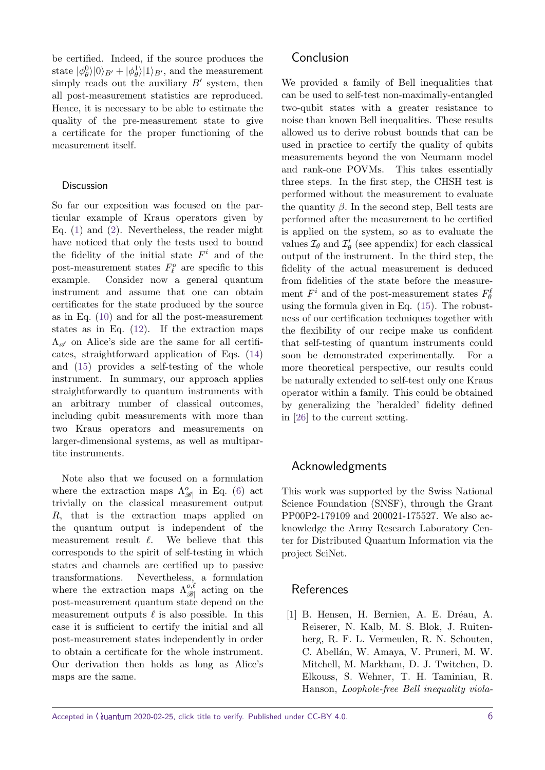be certified. Indeed, if the source produces the state  $|\phi_{\theta}^{0}\rangle|0\rangle_{B'} + |\phi_{\theta}^{1}\rangle|1\rangle_{B'}$ , and the measurement simply reads out the auxiliary  $B'$  system, then all post-measurement statistics are reproduced. Hence, it is necessary to be able to estimate the quality of the pre-measurement state to give a certificate for the proper functioning of the measurement itself.

## **Discussion**

So far our exposition was focused on the particular example of Kraus operators given by Eq. [\(1\)](#page-1-1) and [\(2\)](#page-1-2). Nevertheless, the reader might have noticed that only the tests used to bound the fidelity of the initial state  $F^i$  and of the post-measurement states  $F^o_\ell$  are specific to this example. Consider now a general quantum instrument and assume that one can obtain certificates for the state produced by the source as in Eq. [\(10\)](#page-3-2) and for all the post-measurement states as in Eq. [\(12\)](#page-3-5). If the extraction maps  $\Lambda_{\mathscr{A}}$  on Alice's side are the same for all certificates, straightforward application of Eqs. [\(14\)](#page-4-2) and [\(15\)](#page-4-3) provides a self-testing of the whole instrument. In summary, our approach applies straightforwardly to quantum instruments with an arbitrary number of classical outcomes, including qubit measurements with more than two Kraus operators and measurements on larger-dimensional systems, as well as multipartite instruments.

Note also that we focused on a formulation where the extraction maps  $\Lambda_{\mathscr{B}}^o$  in Eq. [\(6\)](#page-2-4) act trivially on the classical measurement output *R*, that is the extraction maps applied on the quantum output is independent of the measurement result  $\ell$ . We believe that this corresponds to the spirit of self-testing in which states and channels are certified up to passive transformations. Nevertheless, a formulation where the extraction maps  $\Lambda_{\mathscr{B}}^{\scriptscriptstyle O,\ell}$  $\mathscr{B}$  acting on the post-measurement quantum state depend on the measurement outputs  $\ell$  is also possible. In this case it is sufficient to certify the initial and all post-measurement states independently in order to obtain a certificate for the whole instrument. Our derivation then holds as long as Alice's maps are the same.

We provided a family of Bell inequalities that can be used to self-test non-maximally-entangled two-qubit states with a greater resistance to noise than known Bell inequalities. These results allowed us to derive robust bounds that can be used in practice to certify the quality of qubits measurements beyond the von Neumann model and rank-one POVMs. This takes essentially three steps. In the first step, the CHSH test is performed without the measurement to evaluate the quantity  $\beta$ . In the second step, Bell tests are performed after the measurement to be certified is applied on the system, so as to evaluate the values  $\mathcal{I}_{\theta}$  and  $\mathcal{I}'_{\theta}$  (see appendix) for each classical output of the instrument. In the third step, the fidelity of the actual measurement is deduced from fidelities of the state before the measurement  $F^i$  and of the post-measurement states  $F^{\ell}_{\theta}$ using the formula given in Eq. [\(15\)](#page-4-3). The robustness of our certification techniques together with the flexibility of our recipe make us confident that self-testing of quantum instruments could soon be demonstrated experimentally. For a more theoretical perspective, our results could be naturally extended to self-test only one Kraus operator within a family. This could be obtained by generalizing the 'heralded' fidelity defined in [\[26\]](#page-7-8) to the current setting.

## Acknowledgments

This work was supported by the Swiss National Science Foundation (SNSF), through the Grant PP00P2-179109 and 200021-175527. We also acknowledge the Army Research Laboratory Center for Distributed Quantum Information via the project SciNet.

## References

<span id="page-5-0"></span>[1] B. Hensen, H. Bernien, A. E. Dréau, A. Reiserer, N. Kalb, M. S. Blok, J. Ruitenberg, R. F. L. Vermeulen, R. N. Schouten, C. Abellán, W. Amaya, V. Pruneri, M. W. Mitchell, M. Markham, D. J. Twitchen, D. Elkouss, S. Wehner, T. H. Taminiau, R. Hanson, Loophole-free Bell inequality viola-

Accepted in  $\lambda$ uantum 2020-02-25, click title to verify. Published under CC-BY 4.0.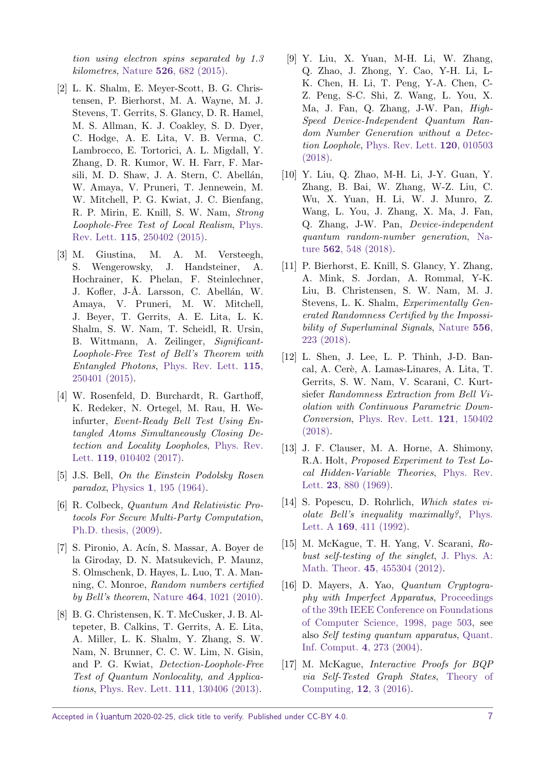tion using electron spins separated by 1.3 kilometres, Nature **526**[, 682 \(2015\).](https://doi.org/10.1038/nature15759)

- <span id="page-6-0"></span>[2] L. K. Shalm, E. Meyer-Scott, B. G. Christensen, P. Bierhorst, M. A. Wayne, M. J. Stevens, T. Gerrits, S. Glancy, D. R. Hamel, M. S. Allman, K. J. Coakley, S. D. Dyer, C. Hodge, A. E. Lita, V. B. Verma, C. Lambrocco, E. Tortorici, A. L. Migdall, Y. Zhang, D. R. Kumor, W. H. Farr, F. Marsili, M. D. Shaw, J. A. Stern, C. Abellán, W. Amaya, V. Pruneri, T. Jennewein, M. W. Mitchell, P. G. Kwiat, J. C. Bienfang, R. P. Mirin, E. Knill, S. W. Nam, Strong Loophole-Free Test of Local Realism, [Phys.](https://doi.org/10.1103/PhysRevLett.115.250402) Rev. Lett. **115**[, 250402 \(2015\).](https://doi.org/10.1103/PhysRevLett.115.250402)
- <span id="page-6-1"></span>[3] M. Giustina, M. A. M. Versteegh, S. Wengerowsky, J. Handsteiner, A. Hochrainer, K. Phelan, F. Steinlechner, J. Kofler, J-Å. Larsson, C. Abellán, W. Amaya, V. Pruneri, M. W. Mitchell, J. Beyer, T. Gerrits, A. E. Lita, L. K. Shalm, S. W. Nam, T. Scheidl, R. Ursin, B. Wittmann, A. Zeilinger, Significant-Loophole-Free Test of Bell's Theorem with Entangled Photons, [Phys. Rev. Lett.](https://doi.org/10.1103/PhysRevLett.115.250401) **115**, [250401 \(2015\).](https://doi.org/10.1103/PhysRevLett.115.250401)
- <span id="page-6-2"></span>[4] W. Rosenfeld, D. Burchardt, R. Garthoff, K. Redeker, N. Ortegel, M. Rau, H. Weinfurter, Event-Ready Bell Test Using Entangled Atoms Simultaneously Closing Detection and Locality Loopholes, [Phys. Rev.](https://doi.org/10.1103/PhysRevLett.119.010402) Lett. **119**[, 010402 \(2017\).](https://doi.org/10.1103/PhysRevLett.119.010402)
- <span id="page-6-3"></span>[5] J.S. Bell, On the Einstein Podolsky Rosen paradox, Physics **1**[, 195 \(1964\).](https://doi.org/10.1103/PhysicsPhysiqueFizika.1.195)
- <span id="page-6-4"></span>[6] R. Colbeck, Quantum And Relativistic Protocols For Secure Multi-Party Computation, [Ph.D. thesis, \(2009\).](https://arxiv.org/abs/0911.3814)
- <span id="page-6-5"></span>[7] S. Pironio, A. Acín, S. Massar, A. Boyer de la Giroday, D. N. Matsukevich, P. Maunz, S. Olmschenk, D. Hayes, L. Luo, T. A. Manning, C. Monroe, Random numbers certified by Bell's theorem, Nature **464**[, 1021 \(2010\).](https://doi.org/10.1038/nature09008)
- <span id="page-6-6"></span>[8] B. G. Christensen, K. T. McCusker, J. B. Altepeter, B. Calkins, T. Gerrits, A. E. Lita, A. Miller, L. K. Shalm, Y. Zhang, S. W. Nam, N. Brunner, C. C. W. Lim, N. Gisin, and P. G. Kwiat, Detection-Loophole-Free Test of Quantum Nonlocality, and Applications, [Phys. Rev. Lett.](https://doi.org/10.1103/PhysRevLett.111.130406) **111**, 130406 (2013).
- <span id="page-6-7"></span>[9] Y. Liu, X. Yuan, M-H. Li, W. Zhang, Q. Zhao, J. Zhong, Y. Cao, Y-H. Li, L-K. Chen, H. Li, T. Peng, Y-A. Chen, C-Z. Peng, S-C. Shi, Z. Wang, L. You, X. Ma, J. Fan, Q. Zhang, J-W. Pan, High-Speed Device-Independent Quantum Random Number Generation without a Detection Loophole, [Phys. Rev. Lett.](https://doi.org/10.1103/PhysRevLett.120.010503) **120**, 010503 [\(2018\).](https://doi.org/10.1103/PhysRevLett.120.010503)
- <span id="page-6-8"></span>[10] Y. Liu, Q. Zhao, M-H. Li, J-Y. Guan, Y. Zhang, B. Bai, W. Zhang, W-Z. Liu, C. Wu, X. Yuan, H. Li, W. J. Munro, Z. Wang, L. You, J. Zhang, X. Ma, J. Fan, Q. Zhang, J-W. Pan, Device-independent quantum random-number generation, [Na](https://doi.org/10.1038/s41586-018-0559-3)ture **562**[, 548 \(2018\).](https://doi.org/10.1038/s41586-018-0559-3)
- <span id="page-6-9"></span>[11] P. Bierhorst, E. Knill, S. Glancy, Y. Zhang, A. Mink, S. Jordan, A. Rommal, Y-K. Liu, B. Christensen, S. W. Nam, M. J. Stevens, L. K. Shalm, Experimentally Generated Randomness Certified by the Impossibility of Superluminal Signals, [Nature](https://doi.org/10.1038/s41586-018-0019-0) **556**, [223 \(2018\).](https://doi.org/10.1038/s41586-018-0019-0)
- <span id="page-6-10"></span>[12] L. Shen, J. Lee, L. P. Thinh, J-D. Bancal, A. Cerè, A. Lamas-Linares, A. Lita, T. Gerrits, S. W. Nam, V. Scarani, C. Kurtsiefer Randomness Extraction from Bell Violation with Continuous Parametric Down-Conversion, [Phys. Rev. Lett.](https://doi.org/10.1103/PhysRevLett.121.150402) **121**, 150402 [\(2018\).](https://doi.org/10.1103/PhysRevLett.121.150402)
- <span id="page-6-11"></span>[13] J. F. Clauser, M. A. Horne, A. Shimony, R.A. Holt, Proposed Experiment to Test Local Hidden-Variable Theories, [Phys. Rev.](https://doi.org/10.1103/PhysRevLett.23.880) Lett. **23**[, 880 \(1969\).](https://doi.org/10.1103/PhysRevLett.23.880)
- <span id="page-6-12"></span>[14] S. Popescu, D. Rohrlich, Which states violate Bell's inequality maximally?, [Phys.](https://doi.org/10.1016/0375-9601(92)90819-8) Lett. A **169**[, 411 \(1992\).](https://doi.org/10.1016/0375-9601(92)90819-8)
- <span id="page-6-13"></span>[15] M. McKague, T. H. Yang, V. Scarani, Robust self-testing of the singlet, [J. Phys. A:](https://doi.org/10.1088/1751-8113/45/45/455304) Math. Theor. **45**[, 455304 \(2012\).](https://doi.org/10.1088/1751-8113/45/45/455304)
- <span id="page-6-14"></span>[16] D. Mayers, A. Yao, Quantum Cryptography with Imperfect Apparatus, [Proceedings](https://arxiv.org/abs/quant-ph/9809039) [of the 39th IEEE Conference on Foundations](https://arxiv.org/abs/quant-ph/9809039) [of Computer Science, 1998, page 503,](https://arxiv.org/abs/quant-ph/9809039) see also Self testing quantum apparatus, [Quant.](https://doi.org/10.26421/QIC4.4) [Inf. Comput.](https://doi.org/10.26421/QIC4.4) **4**, 273 (2004).
- <span id="page-6-15"></span>[17] M. McKague, Interactive Proofs for BQP via Self-Tested Graph States, [Theory of](https://doi.org/10.4086/toc.2016.v012a003) [Computing,](https://doi.org/10.4086/toc.2016.v012a003) **12**, 3 (2016).

Accepted in  $\langle \lambda$ uantum 2020-02-25, click title to verify. Published under CC-BY 4.0.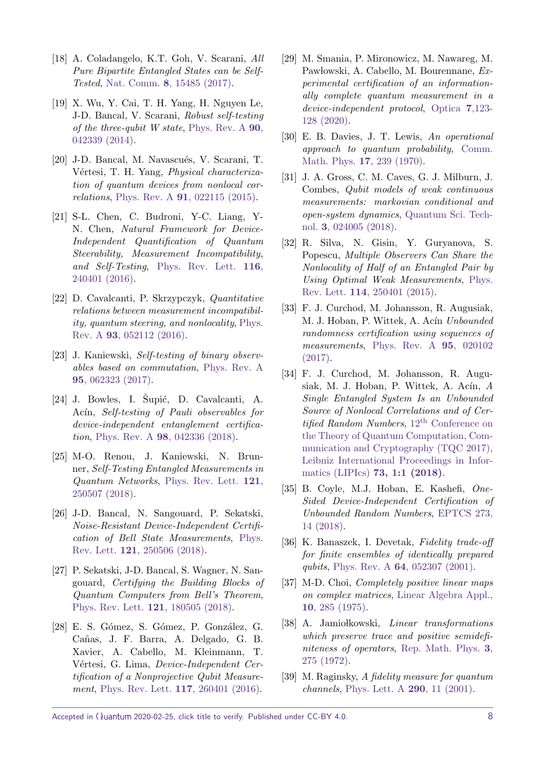- <span id="page-7-0"></span>[18] A. Coladangelo, K.T. Goh, V. Scarani, All Pure Bipartite Entangled States can be Self-Tested, Nat. Comm. **8**[, 15485 \(2017\).](https://doi.org/10.1038/ncomms15485)
- <span id="page-7-1"></span>[19] X. Wu, Y. Cai, T. H. Yang, H. Nguyen Le, J-D. Bancal, V. Scarani, Robust self-testing of the three-qubit W state, [Phys. Rev. A](https://doi.org/10.1103/PhysRevA.90.042339) **90**, [042339 \(2014\).](https://doi.org/10.1103/PhysRevA.90.042339)
- <span id="page-7-2"></span>[20] J-D. Bancal, M. Navascués, V. Scarani, T. Vértesi, T. H. Yang, Physical characterization of quantum devices from nonlocal correlations, Phys. Rev. A **91**[, 022115 \(2015\).](https://doi.org/10.1103/PhysRevA.91.022115)
- <span id="page-7-3"></span>[21] S-L. Chen, C. Budroni, Y-C. Liang, Y-N. Chen, Natural Framework for Device-Independent Quantification of Quantum Steerability, Measurement Incompatibility, and Self-Testing, [Phys. Rev. Lett.](https://doi.org/10.1103/PhysRevLett.116.240401) **116**, [240401 \(2016\).](https://doi.org/10.1103/PhysRevLett.116.240401)
- <span id="page-7-4"></span>[22] D. Cavalcanti, P. Skrzypczyk, Quantitative relations between measurement incompatibility, quantum steering, and nonlocality, [Phys.](https://doi.org/10.1103/PhysRevA.93.052112) Rev. A **93**[, 052112 \(2016\).](https://doi.org/10.1103/PhysRevA.93.052112)
- <span id="page-7-5"></span>[23] J. Kaniewski, Self-testing of binary observables based on commutation, [Phys. Rev. A](https://doi.org/10.1103/PhysRevA.95.062323) **95**[, 062323 \(2017\).](https://doi.org/10.1103/PhysRevA.95.062323)
- <span id="page-7-6"></span> $[24]$  J. Bowles, I. Supić, D. Cavalcanti, A. Acín, Self-testing of Pauli observables for device-independent entanglement certification, Phys. Rev. A **98**[, 042336 \(2018\).](https://doi.org/10.1103/PhysRevA.98.062336)
- <span id="page-7-7"></span>[25] M-O. Renou, J. Kaniewski, N. Brunner, Self-Testing Entangled Measurements in Quantum Networks, [Phys. Rev. Lett.](https://doi.org/10.1103/PhysRevLett.121.250507) **121**, [250507 \(2018\).](https://doi.org/10.1103/PhysRevLett.121.250507)
- <span id="page-7-8"></span>[26] J-D. Bancal, N. Sangouard, P. Sekatski, Noise-Resistant Device-Independent Certification of Bell State Measurements, [Phys.](https://doi.org/10.1103/PhysRevLett.121.250506) Rev. Lett. **121**[, 250506 \(2018\).](https://doi.org/10.1103/PhysRevLett.121.250506)
- <span id="page-7-9"></span>[27] P. Sekatski, J-D. Bancal, S. Wagner, N. Sangouard, Certifying the Building Blocks of Quantum Computers from Bell's Theorem, [Phys. Rev. Lett.](https://doi.org/10.1103/PhysRevLett.121.180505) **121**, 180505 (2018).
- <span id="page-7-10"></span>[28] E. S. Gómez, S. Gómez, P. González, G. Cañas, J. F. Barra, A. Delgado, G. B. Xavier, A. Cabello, M. Kleinmann, T. Vértesi, G. Lima, Device-Independent Certification of a Nonprojective Qubit Measurement, [Phys. Rev. Lett.](https://doi.org/10.1103/PhysRevLett.117.260401) **117**, 260401 (2016).
- <span id="page-7-11"></span>[29] M. Smania, P. Mironowicz, M. Nawareg, M. Pawłowski, A. Cabello, M. Bourennane, Experimental certification of an informationally complete quantum measurement in a device-independent protocol, [Optica](https://doi.org/10.1364/OPTICA.377959) **7**,123- [128 \(2020\).](https://doi.org/10.1364/OPTICA.377959)
- <span id="page-7-12"></span>[30] E. B. Davies, J. T. Lewis, An operational approach to quantum probability, [Comm.](https://doi.org/10.1007/BF01647093) [Math. Phys.](https://doi.org/10.1007/BF01647093) **17**, 239 (1970).
- <span id="page-7-13"></span>[31] J. A. Gross, C. M. Caves, G. J. Milburn, J. Combes, Qubit models of weak continuous measurements: markovian conditional and open-system dynamics, [Quantum Sci. Tech](https://doi.org/10.1088/2058-9565/aaa39f)nol. **3**[, 024005 \(2018\).](https://doi.org/10.1088/2058-9565/aaa39f)
- <span id="page-7-14"></span>[32] R. Silva, N. Gisin, Y. Guryanova, S. Popescu, Multiple Observers Can Share the Nonlocality of Half of an Entangled Pair by Using Optimal Weak Measurements, [Phys.](https://doi.org/10.1103/PhysRevLett.114.250401) Rev. Lett. **114**[, 250401 \(2015\).](https://doi.org/10.1103/PhysRevLett.114.250401)
- <span id="page-7-15"></span>[33] F. J. Curchod, M. Johansson, R. Augusiak, M. J. Hoban, P. Wittek, A. Acín Unbounded randomness certification using sequences of measurements, [Phys. Rev. A](https://doi.org/10.1103/PhysRevA.95.020102) **95**, 020102 [\(2017\).](https://doi.org/10.1103/PhysRevA.95.020102)
- <span id="page-7-16"></span>[34] F. J. Curchod, M. Johansson, R. Augusiak, M. J. Hoban, P. Wittek, A. Acín,  $A$ Single Entangled System Is an Unbounded Source of Nonlocal Correlations and of Certified Random Numbers,  $12<sup>th</sup>$  [Conference on](https://doi.org/10.4230/LIPIcs.TQC.2017.1) [the Theory of Quantum Computation, Com](https://doi.org/10.4230/LIPIcs.TQC.2017.1)[munication and Cryptography \(TQC 2017\),](https://doi.org/10.4230/LIPIcs.TQC.2017.1) [Leibniz International Proceedings in Infor](https://doi.org/10.4230/LIPIcs.TQC.2017.1)matics (LIPIcs) **[73, 1:1 \(2018\)](https://doi.org/10.4230/LIPIcs.TQC.2017.1)**.
- <span id="page-7-17"></span>[35] B. Coyle, M.J. Hoban, E. Kashefi, One-Sided Device-Independent Certification of Unbounded Random Numbers, [EPTCS 273,](https://doi.org/10.4204/EPTCS.273.2) [14 \(2018\).](https://doi.org/10.4204/EPTCS.273.2)
- <span id="page-7-18"></span>[36] K. Banaszek, I. Devetak, Fidelity trade-off for finite ensembles of identically prepared qubits, Phys. Rev. A **64**[, 052307 \(2001\).](https://doi.org/10.1103/PhysRevA.64.052307)
- <span id="page-7-19"></span>[37] M-D. Choi, Completely positive linear maps on complex matrices, [Linear Algebra Appl.,](https://doi.org/10.1016/0024-3795(75)90075-0) **10**[, 285 \(1975\).](https://doi.org/10.1016/0024-3795(75)90075-0)
- <span id="page-7-20"></span>[38] A. Jamiołkowski, *Linear transformations* which preserve trace and positive semidefiniteness of operators, [Rep. Math. Phys.](https://doi.org/10.1016/0034-4877(72)90011-0) **3**, [275 \(1972\).](https://doi.org/10.1016/0034-4877(72)90011-0)
- <span id="page-7-21"></span>[39] M. Raginsky, A fidelity measure for quantum channels, [Phys. Lett. A](https://doi.org/10.1016/S0375-9601(01)00640-5) **290**, 11 (2001).

Accepted in  $\sqrt{2020-02-25}$ , click title to verify. Published under CC-BY 4.0.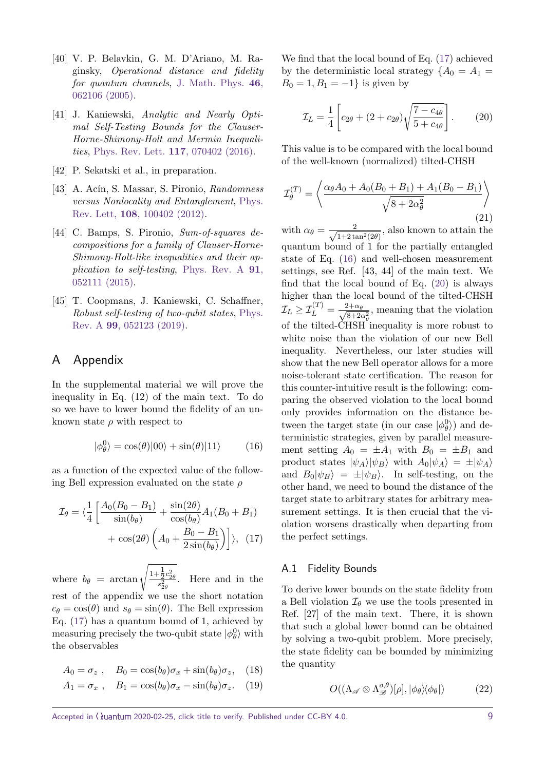- <span id="page-8-0"></span>[40] V. P. Belavkin, G. M. D'Ariano, M. Raginsky, Operational distance and fidelity for quantum channels, [J. Math. Phys.](https://doi.org/10.1063/1.1904510) **46**, [062106 \(2005\).](https://doi.org/10.1063/1.1904510)
- <span id="page-8-1"></span>[41] J. Kaniewski, Analytic and Nearly Optimal Self-Testing Bounds for the Clauser-Horne-Shimony-Holt and Mermin Inequalities, [Phys. Rev. Lett.](https://doi.org/10.1103/PhysRevLett.117.070402) **117**, 070402 (2016).
- <span id="page-8-2"></span>[42] P. Sekatski et al., in preparation.
- <span id="page-8-3"></span>[43] A. Acín, S. Massar, S. Pironio, Randomness versus Nonlocality and Entanglement, [Phys.](https://doi.org/10.1103/PhysRevLett.108.100402) Rev. Lett, **108**[, 100402 \(2012\).](https://doi.org/10.1103/PhysRevLett.108.100402)
- <span id="page-8-4"></span>[44] C. Bamps, S. Pironio, Sum-of-squares decompositions for a family of Clauser-Horne-Shimony-Holt-like inequalities and their application to self-testing, [Phys. Rev. A](https://doi.org/10.1103/PhysRevA.91.052111) **91**, [052111 \(2015\).](https://doi.org/10.1103/PhysRevA.91.052111)
- [45] T. Coopmans, J. Kaniewski, C. Schaffner, Robust self-testing of two-qubit states, [Phys.](https://doi.org/10.1103/PhysRevA.99.052123) Rev. A **99**[, 052123 \(2019\).](https://doi.org/10.1103/PhysRevA.99.052123)

## A Appendix

In the supplemental material we will prove the inequality in Eq. (12) of the main text. To do so we have to lower bound the fidelity of an unknown state  $\rho$  with respect to

<span id="page-8-6"></span>
$$
|\phi_{\theta}^{0}\rangle = \cos(\theta)|00\rangle + \sin(\theta)|11\rangle \tag{16}
$$

as a function of the expected value of the following Bell expression evaluated on the state *ρ*

$$
\mathcal{I}_{\theta} = \langle \frac{1}{4} \left[ \frac{A_0 (B_0 - B_1)}{\sin(b_{\theta})} + \frac{\sin(2\theta)}{\cos(b_{\theta})} A_1 (B_0 + B_1) + \cos(2\theta) \left( A_0 + \frac{B_0 - B_1}{2 \sin(b_{\theta})} \right) \right], \quad (17)
$$

where  $b_{\theta}$  = arctan  $\sqrt{\frac{1+\frac{1}{2}c_{2\theta}^2}{s_{2\theta}^2}}$ . Here and in the rest of the appendix we use the short notation  $c_{\theta} = \cos(\theta)$  and  $s_{\theta} = \sin(\theta)$ . The Bell expression Eq. [\(17\)](#page-8-5) has a quantum bound of 1, achieved by measuring precisely the two-qubit state  $|\phi_{\theta}^0\rangle$  with the observables

$$
A_0 = \sigma_z , \quad B_0 = \cos(b_\theta)\sigma_x + \sin(b_\theta)\sigma_z, \quad (18)
$$

$$
A_1 = \sigma_x , \quad B_1 = \cos(b_\theta)\sigma_x - \sin(b_\theta)\sigma_z. \quad (19)
$$

We find that the local bound of Eq. [\(17\)](#page-8-5) achieved by the deterministic local strategy  ${A_0 = A_1 =$  $B_0 = 1, B_1 = -1$ } is given by

<span id="page-8-7"></span>
$$
\mathcal{I}_L = \frac{1}{4} \left[ c_{2\theta} + (2 + c_{2\theta}) \sqrt{\frac{7 - c_{4\theta}}{5 + c_{4\theta}}} \right].
$$
 (20)

This value is to be compared with the local bound of the well-known (normalized) tilted-CHSH

$$
\mathcal{I}_{\theta}^{(T)} = \left\langle \frac{\alpha_{\theta} A_0 + A_0 (B_0 + B_1) + A_1 (B_0 - B_1)}{\sqrt{8 + 2\alpha_{\theta}^2}} \right\rangle
$$
\n(21)

with  $\alpha_{\theta} = \frac{2}{\sqrt{1+2t}}$  $\frac{2}{1+2\tan^2(2\theta)}$ , also known to attain the quantum bound of 1 for the partially entangled state of Eq. [\(16\)](#page-8-6) and well-chosen measurement settings, see Ref. [43, 44] of the main text. We find that the local bound of Eq.  $(20)$  is always higher than the local bound of the tilted-CHSH  $\mathcal{I}_L \geq \mathcal{I}_L^{(T)} = \frac{2+\alpha_\theta}{\sqrt{8+2\theta}}$  $\frac{2+\alpha_{\theta}}{8+2\alpha_{\theta}^2}$ , meaning that the violation of the tilted-CHSH inequality is more robust to white noise than the violation of our new Bell inequality. Nevertheless, our later studies will show that the new Bell operator allows for a more noise-tolerant state certification. The reason for this counter-intuitive result is the following: comparing the observed violation to the local bound only provides information on the distance between the target state (in our case  $|\phi_{\theta}^0\rangle$ ) and deterministic strategies, given by parallel measurement setting  $A_0 = \pm A_1$  with  $B_0 = \pm B_1$  and product states  $|\psi_A\rangle|\psi_B\rangle$  with  $A_0|\psi_A\rangle = \pm |\psi_A\rangle$ and  $B_0|\psi_B\rangle = \pm |\psi_B\rangle$ . In self-testing, on the other hand, we need to bound the distance of the target state to arbitrary states for arbitrary measurement settings. It is then crucial that the violation worsens drastically when departing from the perfect settings.

### <span id="page-8-5"></span>A.1 Fidelity Bounds

To derive lower bounds on the state fidelity from a Bell violation  $\mathcal{I}_{\theta}$  we use the tools presented in Ref. [27] of the main text. There, it is shown that such a global lower bound can be obtained by solving a two-qubit problem. More precisely, the state fidelity can be bounded by minimizing the quantity

$$
O((\Lambda_{\mathscr{A}} \otimes \Lambda_{\mathscr{B}}^{o,\theta})[\rho], |\phi_{\theta}\rangle\langle\phi_{\theta}|) \tag{22}
$$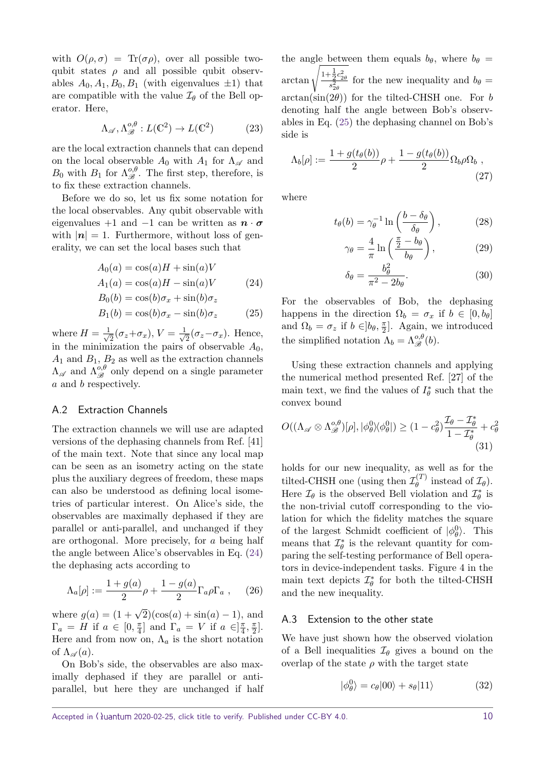with  $O(\rho, \sigma) = \text{Tr}(\sigma \rho)$ , over all possible twoqubit states  $\rho$  and all possible qubit observables  $A_0, A_1, B_0, B_1$  (with eigenvalues  $\pm 1$ ) that are compatible with the value  $\mathcal{I}_{\theta}$  of the Bell operator. Here,

$$
\Lambda_{\mathscr{A}}, \Lambda_{\mathscr{B}}^{o,\theta} : L(\mathbb{C}^2) \to L(\mathbb{C}^2) \tag{23}
$$

are the local extraction channels that can depend on the local observable  $A_0$  with  $A_1$  for  $\Lambda_{\mathscr{A}}$  and  $B_0$  with  $B_1$  for  $\Lambda_{\mathscr{B}}^{\,0,\theta}$ . The first step, therefore, is to fix these extraction channels.

Before we do so, let us fix some notation for the local observables. Any qubit observable with eigenvalues +1 and −1 can be written as  $\mathbf{n} \cdot \mathbf{\sigma}$ with  $|\mathbf{n}| = 1$ . Furthermore, without loss of generality, we can set the local bases such that

$$
A_0(a) = \cos(a)H + \sin(a)V
$$
  
\n
$$
A_1(a) = \cos(a)H - \sin(a)V
$$
\n(24)

$$
B_0(b) = \cos(b)\sigma_x + \sin(b)\sigma_z
$$

$$
B_1(b) = \cos(b)\sigma_x - \sin(b)\sigma_z \tag{25}
$$

where  $H = \frac{1}{\sqrt{2}}$  $\frac{1}{2}(\sigma_z+\sigma_x), V=\frac{1}{\sqrt{2}}$  $\frac{1}{2}(\sigma_z - \sigma_x)$ . Hence, in the minimization the pairs of observable *A*0,  $A_1$  and  $B_1$ ,  $B_2$  as well as the extraction channels  $\Lambda_{\mathscr{A}}$  and  $\Lambda_{\mathscr{B}}^{\overline{o},\theta}$  only depend on a single parameter *a* and *b* respectively.

### A.2 Extraction Channels

The extraction channels we will use are adapted versions of the dephasing channels from Ref. [41] of the main text. Note that since any local map can be seen as an isometry acting on the state plus the auxiliary degrees of freedom, these maps can also be understood as defining local isometries of particular interest. On Alice's side, the observables are maximally dephased if they are parallel or anti-parallel, and unchanged if they are orthogonal. More precisely, for *a* being half the angle between Alice's observables in Eq. [\(24\)](#page-9-0) the dephasing acts according to

$$
\Lambda_a[\rho] := \frac{1 + g(a)}{2}\rho + \frac{1 - g(a)}{2}\Gamma_a \rho \Gamma_a , \quad (26)
$$

where  $g(a) = (1 + \sqrt{2})(\cos(a) + \sin(a) - 1)$ , and  $\Gamma_a = H$  if  $a \in [0, \frac{\pi}{4}]$  $\left[\frac{\pi}{4}\right]$  and  $\Gamma_a = V$  if  $a \in \left[\frac{\pi}{4}\right]$  $\frac{\pi}{4}$ ,  $\frac{\pi}{2}$  $\frac{\pi}{2}$ . Here and from now on,  $\Lambda_a$  is the short notation of  $\Lambda_{\mathscr{A}}(a)$ .

On Bob's side, the observables are also maximally dephased if they are parallel or antiparallel, but here they are unchanged if half

the angle between them equals  $b_{\theta}$ , where  $b_{\theta}$  =  $\arctan \sqrt{\frac{1+\frac{1}{2}c_{2\theta}^2}{s_{2\theta}^2}}$  for the new inequality and  $b_{\theta} =$  $arctan(\sin(2\theta))$  for the tilted-CHSH one. For *b* denoting half the angle between Bob's observables in Eq. [\(25\)](#page-9-1) the dephasing channel on Bob's side is

$$
\Lambda_b[\rho] := \frac{1 + g(t_\theta(b))}{2} \rho + \frac{1 - g(t_\theta(b))}{2} \Omega_b \rho \Omega_b ,
$$
\n(27)

where

$$
t_{\theta}(b) = \gamma_{\theta}^{-1} \ln \left( \frac{b - \delta_{\theta}}{\delta_{\theta}} \right), \qquad (28)
$$

$$
\gamma_{\theta} = \frac{4}{\pi} \ln \left( \frac{\frac{\pi}{2} - b_{\theta}}{b_{\theta}} \right),\tag{29}
$$

$$
\delta_{\theta} = \frac{b_{\theta}^2}{\pi^2 - 2b_{\theta}}.\tag{30}
$$

<span id="page-9-1"></span><span id="page-9-0"></span>For the observables of Bob, the dephasing happens in the direction  $\Omega_b = \sigma_x$  if  $b \in [0, b_\theta]$ and  $\Omega_b = \sigma_z$  if  $b \in ]b_\theta, \frac{\pi}{2}$  $\frac{\pi}{2}$ . Again, we introduced the simplified notation  $\Lambda_b = \Lambda_{\mathscr{B}}^{\omicron,\theta}(b)$ .

Using these extraction channels and applying the numerical method presented Ref. [27] of the main text, we find the values of  $I_{\theta}^*$  such that the convex bound

<span id="page-9-2"></span>
$$
O((\Lambda_{\mathscr{A}} \otimes \Lambda_{\mathscr{B}}^{o,\theta})[\rho], |\phi_{\theta}^{0}\rangle\langle\phi_{\theta}^{0}|) \ge (1 - c_{\theta}^{2})\frac{\mathcal{I}_{\theta} - \mathcal{I}_{\theta}^{*}}{1 - \mathcal{I}_{\theta}^{*}} + c_{\theta}^{2}
$$
\n(31)

holds for our new inequality, as well as for the tilted-CHSH one (using then  $\mathcal{I}_{\theta}^{(T)}$  $\mathcal{I}_{\theta}^{(1)}$  instead of  $\mathcal{I}_{\theta}$ ). Here  $\mathcal{I}_{\theta}$  is the observed Bell violation and  $\mathcal{I}_{\theta}^{*}$  is the non-trivial cutoff corresponding to the violation for which the fidelity matches the square of the largest Schmidt coefficient of  $|\phi_{\theta}^{0}\rangle$ . This means that  $\mathcal{I}_{\theta}^{*}$  is the relevant quantity for comparing the self-testing performance of Bell operators in device-independent tasks. Figure 4 in the main text depicts  $\mathcal{I}_{\theta}^{*}$  for both the tilted-CHSH and the new inequality.

### A.3 Extension to the other state

We have just shown how the observed violation of a Bell inequalities  $\mathcal{I}_{\theta}$  gives a bound on the overlap of the state  $\rho$  with the target state

$$
|\phi_{\theta}^{0}\rangle = c_{\theta}|00\rangle + s_{\theta}|11\rangle \tag{32}
$$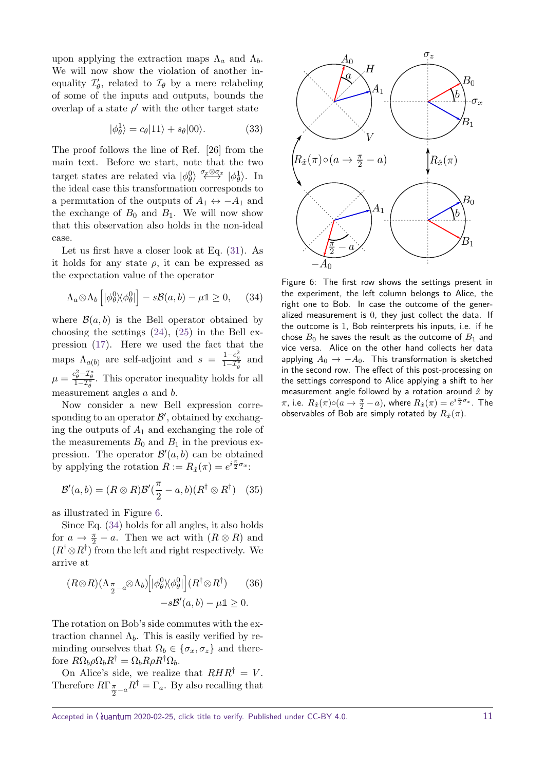upon applying the extraction maps  $\Lambda_a$  and  $\Lambda_b$ . We will now show the violation of another inequality  $\mathcal{I}'_{\theta}$ , related to  $\mathcal{I}_{\theta}$  by a mere relabeling of some of the inputs and outputs, bounds the overlap of a state  $\rho'$  with the other target state

$$
|\phi_{\theta}^1\rangle = c_{\theta}|11\rangle + s_{\theta}|00\rangle.
$$
 (33)

The proof follows the line of Ref. [26] from the main text. Before we start, note that the two target states are related via  $|\phi_{\theta}^{0}\rangle \stackrel{\sigma_{\mathscr{F}} \otimes \sigma_{\mathscr{X}}}{\longleftrightarrow} |\phi_{\theta}^{1}\rangle$ . In the ideal case this transformation corresponds to a permutation of the outputs of  $A_1 \leftrightarrow -A_1$  and the exchange of  $B_0$  and  $B_1$ . We will now show that this observation also holds in the non-ideal case.

Let us first have a closer look at Eq. [\(31\)](#page-9-2). As it holds for any state  $\rho$ , it can be expressed as the expectation value of the operator

$$
\Lambda_a \otimes \Lambda_b \left[ |\phi_\theta^0| \langle \phi_\theta^0| \right] - s\mathcal{B}(a, b) - \mu \mathbb{1} \ge 0, \quad (34)
$$

where  $\mathcal{B}(a, b)$  is the Bell operator obtained by choosing the settings  $(24)$ ,  $(25)$  in the Bell expression [\(17\)](#page-8-5). Here we used the fact that the maps  $\Lambda_{a(b)}$  are self-adjoint and  $s = \frac{1-c_{\theta}^2}{1-T_{\theta}^*}$  and  $\mu = \frac{c_{\theta}^2 - \mathcal{I}_{\theta}^*}{1 - \mathcal{I}_{\theta}^*}$ . This operator inequality holds for all measurement angles *a* and *b*.

Now consider a new Bell expression corresponding to an operator  $\mathcal{B}'$ , obtained by exchanging the outputs of *A*<sup>1</sup> and exchanging the role of the measurements  $B_0$  and  $B_1$  in the previous expression. The operator  $\mathcal{B}'(a, b)$  can be obtained by applying the rotation  $R := R_{\hat{x}}(\pi) = e^{i\frac{\pi}{2}\sigma_x}$ :

$$
\mathcal{B}'(a,b) = (R \otimes R)\mathcal{B}'(\frac{\pi}{2} - a,b)(R^{\dagger} \otimes R^{\dagger}) \quad (35)
$$

as illustrated in Figure [6.](#page-10-0)

Since Eq. [\(34\)](#page-10-1) holds for all angles, it also holds for  $a \to \frac{\pi}{2} - a$ . Then we act with  $(R \otimes R)$  and  $(R^{\dagger} \otimes R^{\dagger})$  from the left and right respectively. We arrive at

<span id="page-10-2"></span>
$$
(R \otimes R)(\Lambda_{\frac{\pi}{2} - a} \otimes \Lambda_b) \Big[ |\phi_\theta^0| / |\phi_\theta^0| \Big] (R^\dagger \otimes R^\dagger) \qquad (36)
$$

$$
-s\mathcal{B}'(a, b) - \mu \mathbb{1} \ge 0.
$$

The rotation on Bob's side commutes with the extraction channel  $\Lambda_b$ . This is easily verified by reminding ourselves that  $\Omega_b \in {\sigma_x, \sigma_z}$  and there- $\text{for } R\Omega_b \rho \Omega_b R^{\dagger} = \Omega_b R \rho R^{\dagger} \Omega_b.$ 

On Alice's side, we realize that  $RHR^{\dagger} = V$ . Therefore  $R\Gamma_{\frac{\pi}{2}-a}R^{\dagger} = \Gamma_a$ . By also recalling that



<span id="page-10-1"></span><span id="page-10-0"></span>Figure 6: The first row shows the settings present in the experiment, the left column belongs to Alice, the right one to Bob. In case the outcome of the generalized measurement is 0, they just collect the data. If the outcome is 1, Bob reinterprets his inputs, i.e. if he chose  $B_0$  he saves the result as the outcome of  $B_1$  and vice versa. Alice on the other hand collects her data applying  $A_0 \rightarrow -A_0$ . This transformation is sketched in the second row. The effect of this post-processing on the settings correspond to Alice applying a shift to her measurement angle followed by a rotation around *x*ˆ by *π*, i.e.  $R_{\hat{x}}(\pi) \circ (a \to \frac{\pi}{2} - a)$ , where  $R_{\hat{x}}(\pi) = e^{i \frac{\pi}{2} \sigma_x}$ . The observables of Bob are simply rotated by  $R_{\hat{x}}(\pi)$ .